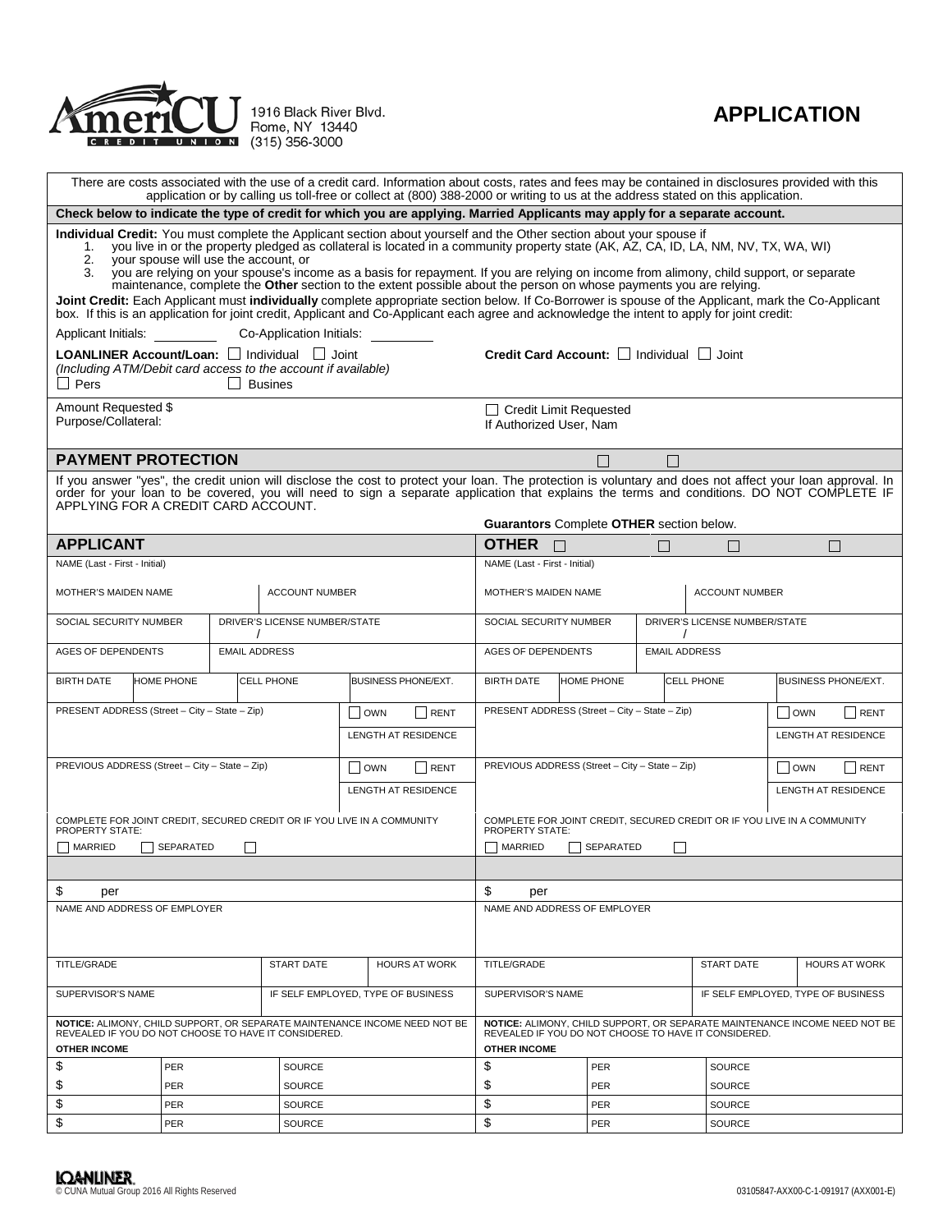

## **APPLICATION**

| There are costs associated with the use of a credit card. Information about costs, rates and fees may be contained in disclosures provided with this<br>application or by calling us toll-free or collect at (800) 388-2000 or writing to us at the address stated on this application.                                                                                                                                                                                                                                                                                                                                                                                                                                                                                                                                                                                                       |                             |                                    |                          |                            |                                                                                                                                     |                                                   |               |                                    |                          |                      |  |  |  |
|-----------------------------------------------------------------------------------------------------------------------------------------------------------------------------------------------------------------------------------------------------------------------------------------------------------------------------------------------------------------------------------------------------------------------------------------------------------------------------------------------------------------------------------------------------------------------------------------------------------------------------------------------------------------------------------------------------------------------------------------------------------------------------------------------------------------------------------------------------------------------------------------------|-----------------------------|------------------------------------|--------------------------|----------------------------|-------------------------------------------------------------------------------------------------------------------------------------|---------------------------------------------------|---------------|------------------------------------|--------------------------|----------------------|--|--|--|
| Check below to indicate the type of credit for which you are applying. Married Applicants may apply for a separate account.                                                                                                                                                                                                                                                                                                                                                                                                                                                                                                                                                                                                                                                                                                                                                                   |                             |                                    |                          |                            |                                                                                                                                     |                                                   |               |                                    |                          |                      |  |  |  |
| Individual Credit: You must complete the Applicant section about yourself and the Other section about your spouse if<br>you live in or the property pledged as collateral is located in a community property state (AK, AZ, CA, ID, LA, NM, NV, TX, WA, WI)<br>1.<br>vour spouse will use the account, or<br>2.<br>you are relying on your spouse's income as a basis for repayment. If you are relying on income from alimony, child support, or separate<br>3.<br>maintenance, complete the Other section to the extent possible about the person on whose payments you are relying.<br>Joint Credit: Each Applicant must individually complete appropriate section below. If Co-Borrower is spouse of the Applicant, mark the Co-Applicant<br>box. If this is an application for joint credit, Applicant and Co-Applicant each agree and acknowledge the intent to apply for joint credit: |                             |                                    |                          |                            |                                                                                                                                     |                                                   |               |                                    |                          |                      |  |  |  |
| Applicant Initials:                                                                                                                                                                                                                                                                                                                                                                                                                                                                                                                                                                                                                                                                                                                                                                                                                                                                           |                             |                                    | Co-Application Initials: |                            |                                                                                                                                     |                                                   |               |                                    |                          |                      |  |  |  |
| LOANLINER Account/Loan: □ Individual □ Joint<br>(Including ATM/Debit card access to the account if available)<br>$\Box$ Pers<br>$\Box$ Busines                                                                                                                                                                                                                                                                                                                                                                                                                                                                                                                                                                                                                                                                                                                                                |                             |                                    |                          |                            | Credit Card Account: Individual Joint                                                                                               |                                                   |               |                                    |                          |                      |  |  |  |
| Amount Requested \$<br>Purpose/Collateral:                                                                                                                                                                                                                                                                                                                                                                                                                                                                                                                                                                                                                                                                                                                                                                                                                                                    |                             |                                    |                          |                            | □ Credit Limit Requested<br>If Authorized User, Nam                                                                                 |                                                   |               |                                    |                          |                      |  |  |  |
| <b>PAYMENT PROTECTION</b>                                                                                                                                                                                                                                                                                                                                                                                                                                                                                                                                                                                                                                                                                                                                                                                                                                                                     |                             |                                    |                          |                            |                                                                                                                                     | П<br>$\Box$                                       |               |                                    |                          |                      |  |  |  |
| If you answer "yes", the credit union will disclose the cost to protect your loan. The protection is voluntary and does not affect your loan approval. In<br>order for your loan to be covered, you will need to sign a separate application that explains the terms and conditions. DO NOT COMPLETE IF<br>APPLYING FOR A CREDIT CARD ACCOUNT.<br>Guarantors Complete OTHER section below.                                                                                                                                                                                                                                                                                                                                                                                                                                                                                                    |                             |                                    |                          |                            |                                                                                                                                     |                                                   |               |                                    |                          |                      |  |  |  |
| <b>APPLICANT</b>                                                                                                                                                                                                                                                                                                                                                                                                                                                                                                                                                                                                                                                                                                                                                                                                                                                                              |                             |                                    |                          |                            |                                                                                                                                     | <b>OTHER</b>                                      |               | П                                  | $\overline{\phantom{a}}$ | П                    |  |  |  |
| NAME (Last - First - Initial)                                                                                                                                                                                                                                                                                                                                                                                                                                                                                                                                                                                                                                                                                                                                                                                                                                                                 |                             |                                    |                          |                            |                                                                                                                                     | NAME (Last - First - Initial)                     |               |                                    |                          |                      |  |  |  |
| MOTHER'S MAIDEN NAME                                                                                                                                                                                                                                                                                                                                                                                                                                                                                                                                                                                                                                                                                                                                                                                                                                                                          |                             |                                    | <b>ACCOUNT NUMBER</b>    |                            |                                                                                                                                     | MOTHER'S MAIDEN NAME<br><b>ACCOUNT NUMBER</b>     |               |                                    |                          |                      |  |  |  |
| DRIVER'S LICENSE NUMBER/STATE<br>SOCIAL SECURITY NUMBER                                                                                                                                                                                                                                                                                                                                                                                                                                                                                                                                                                                                                                                                                                                                                                                                                                       |                             |                                    |                          |                            | DRIVER'S LICENSE NUMBER/STATE<br>SOCIAL SECURITY NUMBER                                                                             |                                                   |               |                                    |                          |                      |  |  |  |
| <b>AGES OF DEPENDENTS</b>                                                                                                                                                                                                                                                                                                                                                                                                                                                                                                                                                                                                                                                                                                                                                                                                                                                                     |                             | <b>EMAIL ADDRESS</b>               |                          |                            |                                                                                                                                     | <b>EMAIL ADDRESS</b><br><b>AGES OF DEPENDENTS</b> |               |                                    |                          |                      |  |  |  |
| <b>BIRTH DATE</b><br><b>HOME PHONE</b><br>CELL PHONE                                                                                                                                                                                                                                                                                                                                                                                                                                                                                                                                                                                                                                                                                                                                                                                                                                          |                             |                                    |                          | <b>BUSINESS PHONE/EXT.</b> | <b>BIRTH DATE</b>                                                                                                                   | <b>HOME PHONE</b>                                 | CELL PHONE    | BUSINESS PHONE/EXT.                |                          |                      |  |  |  |
| PRESENT ADDRESS (Street - City - State - Zip)<br>$\Box$ OWN<br>RENT                                                                                                                                                                                                                                                                                                                                                                                                                                                                                                                                                                                                                                                                                                                                                                                                                           |                             |                                    |                          |                            | PRESENT ADDRESS (Street - City - State - Zip)<br>$\Box$ OWN<br>RENT                                                                 |                                                   |               |                                    |                          |                      |  |  |  |
| LENGTH AT RESIDENCE                                                                                                                                                                                                                                                                                                                                                                                                                                                                                                                                                                                                                                                                                                                                                                                                                                                                           |                             |                                    |                          | LENGTH AT RESIDENCE        |                                                                                                                                     |                                                   |               |                                    |                          |                      |  |  |  |
| PREVIOUS ADDRESS (Street - City - State - Zip)<br><b>OWN</b><br>RENT                                                                                                                                                                                                                                                                                                                                                                                                                                                                                                                                                                                                                                                                                                                                                                                                                          |                             |                                    |                          |                            | PREVIOUS ADDRESS (Street - City - State - Zip)                                                                                      | OWN<br>RENT                                       |               |                                    |                          |                      |  |  |  |
| <b>LENGTH AT RESIDENCE</b>                                                                                                                                                                                                                                                                                                                                                                                                                                                                                                                                                                                                                                                                                                                                                                                                                                                                    |                             |                                    |                          | <b>LENGTH AT RESIDENCE</b> |                                                                                                                                     |                                                   |               |                                    |                          |                      |  |  |  |
| COMPLETE FOR JOINT CREDIT, SECURED CREDIT OR IF YOU LIVE IN A COMMUNITY<br><b>PROPERTY STATE:</b><br>MARRIED<br>SEPARATED<br>$\overline{\phantom{a}}$                                                                                                                                                                                                                                                                                                                                                                                                                                                                                                                                                                                                                                                                                                                                         |                             |                                    |                          |                            | COMPLETE FOR JOINT CREDIT, SECURED CREDIT OR IF YOU LIVE IN A COMMUNITY<br><b>PROPERTY STATE:</b><br>MARRIED<br>SEPARATED<br>$\Box$ |                                                   |               |                                    |                          |                      |  |  |  |
|                                                                                                                                                                                                                                                                                                                                                                                                                                                                                                                                                                                                                                                                                                                                                                                                                                                                                               |                             |                                    |                          |                            |                                                                                                                                     |                                                   |               |                                    |                          |                      |  |  |  |
| \$<br>per                                                                                                                                                                                                                                                                                                                                                                                                                                                                                                                                                                                                                                                                                                                                                                                                                                                                                     |                             |                                    |                          |                            |                                                                                                                                     | \$<br>per                                         |               |                                    |                          |                      |  |  |  |
| NAME AND ADDRESS OF EMPLOYER                                                                                                                                                                                                                                                                                                                                                                                                                                                                                                                                                                                                                                                                                                                                                                                                                                                                  |                             |                                    |                          |                            | NAME AND ADDRESS OF EMPLOYER                                                                                                        |                                                   |               |                                    |                          |                      |  |  |  |
| <b>TITLE/GRADE</b>                                                                                                                                                                                                                                                                                                                                                                                                                                                                                                                                                                                                                                                                                                                                                                                                                                                                            |                             |                                    | <b>START DATE</b>        |                            | <b>HOURS AT WORK</b>                                                                                                                | TITLE/GRADE                                       |               |                                    | <b>START DATE</b>        | <b>HOURS AT WORK</b> |  |  |  |
| SUPERVISOR'S NAME                                                                                                                                                                                                                                                                                                                                                                                                                                                                                                                                                                                                                                                                                                                                                                                                                                                                             |                             | IF SELF EMPLOYED, TYPE OF BUSINESS |                          | SUPERVISOR'S NAME          |                                                                                                                                     |                                                   |               | IF SELF EMPLOYED, TYPE OF BUSINESS |                          |                      |  |  |  |
| NOTICE: ALIMONY, CHILD SUPPORT, OR SEPARATE MAINTENANCE INCOME NEED NOT BE<br>REVEALED IF YOU DO NOT CHOOSE TO HAVE IT CONSIDERED.                                                                                                                                                                                                                                                                                                                                                                                                                                                                                                                                                                                                                                                                                                                                                            |                             |                                    |                          |                            | NOTICE: ALIMONY, CHILD SUPPORT, OR SEPARATE MAINTENANCE INCOME NEED NOT BE<br>REVEALED IF YOU DO NOT CHOOSE TO HAVE IT CONSIDERED.  |                                                   |               |                                    |                          |                      |  |  |  |
| <b>OTHER INCOME</b>                                                                                                                                                                                                                                                                                                                                                                                                                                                                                                                                                                                                                                                                                                                                                                                                                                                                           |                             |                                    |                          |                            | <b>OTHER INCOME</b><br>\$                                                                                                           |                                                   |               |                                    |                          |                      |  |  |  |
| \$                                                                                                                                                                                                                                                                                                                                                                                                                                                                                                                                                                                                                                                                                                                                                                                                                                                                                            | PER                         |                                    | SOURCE                   |                            |                                                                                                                                     |                                                   | PER           |                                    |                          | <b>SOURCE</b>        |  |  |  |
| \$                                                                                                                                                                                                                                                                                                                                                                                                                                                                                                                                                                                                                                                                                                                                                                                                                                                                                            | <b>PER</b><br><b>SOURCE</b> |                                    |                          |                            | \$<br>PER                                                                                                                           |                                                   | <b>SOURCE</b> |                                    |                          |                      |  |  |  |
| \$                                                                                                                                                                                                                                                                                                                                                                                                                                                                                                                                                                                                                                                                                                                                                                                                                                                                                            | PER<br>SOURCE               |                                    |                          | \$                         | PER                                                                                                                                 |                                                   | SOURCE        |                                    |                          |                      |  |  |  |
| \$                                                                                                                                                                                                                                                                                                                                                                                                                                                                                                                                                                                                                                                                                                                                                                                                                                                                                            | PER<br>SOURCE               |                                    |                          |                            | \$                                                                                                                                  | PER                                               |               | SOURCE                             |                          |                      |  |  |  |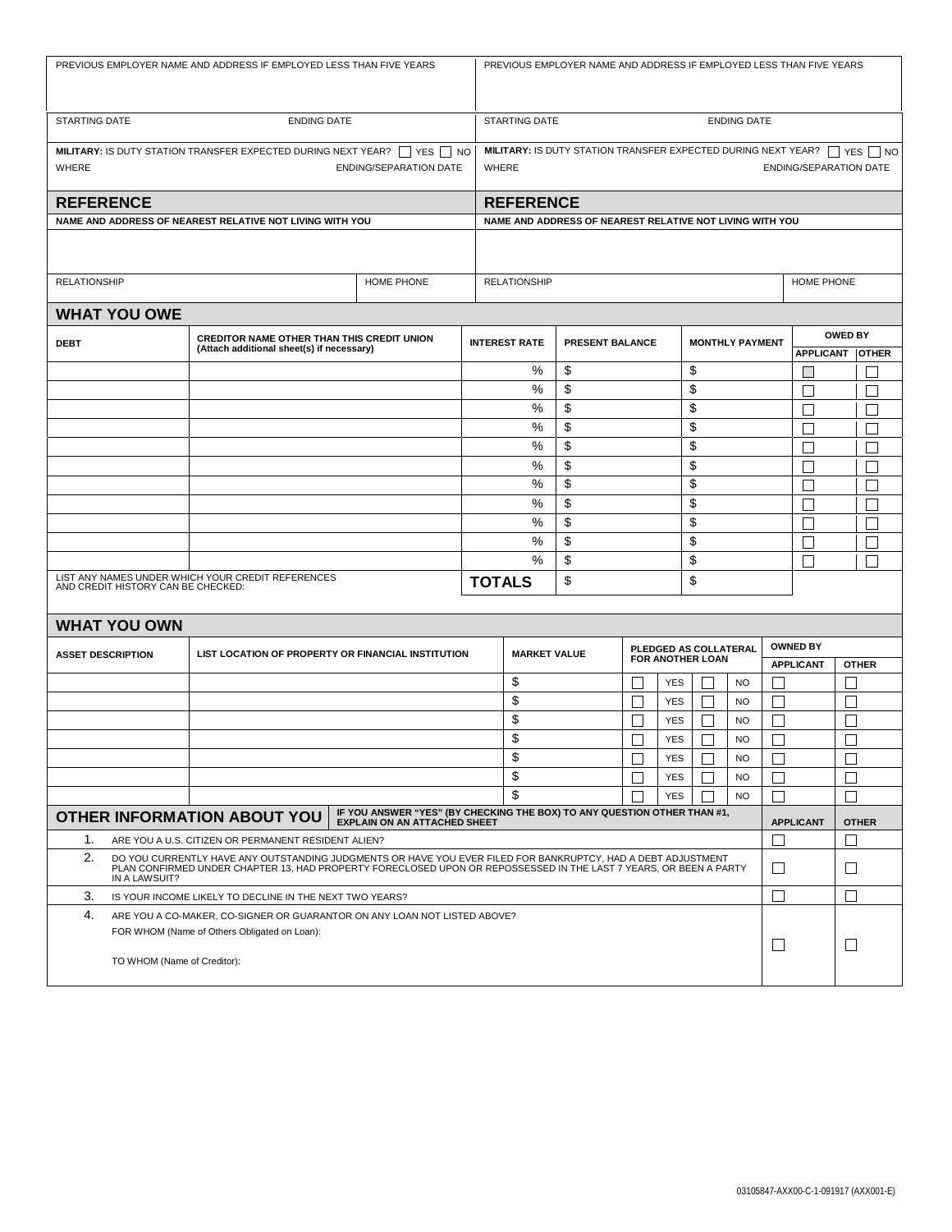| PREVIOUS EMPLOYER NAME AND ADDRESS IF EMPLOYED LESS THAN FIVE YEARS                                                                                                                                                                                      |                                                                                         |                                                          |  |                     | PREVIOUS EMPLOYER NAME AND ADDRESS IF EMPLOYED LESS THAN FIVE YEARS                                                          |                       |   |                          |                  |                        |                          |                                          |                                                      |  |
|----------------------------------------------------------------------------------------------------------------------------------------------------------------------------------------------------------------------------------------------------------|-----------------------------------------------------------------------------------------|----------------------------------------------------------|--|---------------------|------------------------------------------------------------------------------------------------------------------------------|-----------------------|---|--------------------------|------------------|------------------------|--------------------------|------------------------------------------|------------------------------------------------------|--|
| <b>STARTING DATE</b>                                                                                                                                                                                                                                     | <b>ENDING DATE</b>                                                                      |                                                          |  |                     | STARTING DATE<br><b>ENDING DATE</b>                                                                                          |                       |   |                          |                  |                        |                          |                                          |                                                      |  |
| <b>MILITARY:</b> IS DUTY STATION TRANSFER EXPECTED DURING NEXT YEAR? $\Box$ YES $\Box$ NO<br>WHERE<br><b>ENDING/SEPARATION DATE</b>                                                                                                                      |                                                                                         |                                                          |  |                     | <b>MILITARY:</b> IS DUTY STATION TRANSFER EXPECTED DURING NEXT YEAR? $\Box$ YES $\Box$ NO<br>WHERE<br>ENDING/SEPARATION DATE |                       |   |                          |                  |                        |                          |                                          |                                                      |  |
| <b>REFERENCE</b>                                                                                                                                                                                                                                         |                                                                                         |                                                          |  |                     | <b>REFERENCE</b>                                                                                                             |                       |   |                          |                  |                        |                          |                                          |                                                      |  |
|                                                                                                                                                                                                                                                          |                                                                                         | NAME AND ADDRESS OF NEAREST RELATIVE NOT LIVING WITH YOU |  |                     | NAME AND ADDRESS OF NEAREST RELATIVE NOT LIVING WITH YOU                                                                     |                       |   |                          |                  |                        |                          |                                          |                                                      |  |
|                                                                                                                                                                                                                                                          |                                                                                         |                                                          |  |                     |                                                                                                                              |                       |   |                          |                  |                        |                          |                                          |                                                      |  |
|                                                                                                                                                                                                                                                          | <b>RELATIONSHIP</b><br>HOME PHONE                                                       |                                                          |  |                     | <b>RELATIONSHIP</b>                                                                                                          |                       |   |                          |                  |                        |                          | HOME PHONE                               |                                                      |  |
|                                                                                                                                                                                                                                                          | <b>WHAT YOU OWE</b>                                                                     |                                                          |  |                     |                                                                                                                              |                       |   |                          |                  |                        |                          |                                          |                                                      |  |
| <b>DEBT</b>                                                                                                                                                                                                                                              | CREDITOR NAME OTHER THAN THIS CREDIT UNION<br>(Attach additional sheet(s) if necessary) |                                                          |  |                     | <b>INTEREST RATE</b><br>PRESENT BALANCE                                                                                      |                       |   | <b>MONTHLY PAYMENT</b>   |                  |                        |                          | <b>OWED BY</b>                           |                                                      |  |
|                                                                                                                                                                                                                                                          |                                                                                         |                                                          |  |                     | %<br>\$                                                                                                                      |                       |   |                          | \$               |                        |                          | <b>APPLICANT</b><br>L                    | <b>OTHER</b>                                         |  |
|                                                                                                                                                                                                                                                          |                                                                                         |                                                          |  |                     | %                                                                                                                            | \$                    |   |                          | \$               |                        |                          | $\mathbf{I}$                             | I.                                                   |  |
|                                                                                                                                                                                                                                                          |                                                                                         |                                                          |  |                     | %                                                                                                                            | \$                    |   |                          | \$               |                        |                          | $\mathbf{I}$                             |                                                      |  |
|                                                                                                                                                                                                                                                          |                                                                                         |                                                          |  |                     | %                                                                                                                            | \$                    |   |                          | \$               |                        |                          | $\mathbf{I}$                             |                                                      |  |
|                                                                                                                                                                                                                                                          |                                                                                         |                                                          |  |                     | %                                                                                                                            | \$                    |   |                          | \$               |                        |                          | $\mathbf{I}$                             | i.<br>K                                              |  |
|                                                                                                                                                                                                                                                          |                                                                                         |                                                          |  |                     | %                                                                                                                            | \$                    |   |                          | \$               |                        |                          | Г                                        | $\overline{\phantom{0}}$                             |  |
|                                                                                                                                                                                                                                                          |                                                                                         |                                                          |  |                     | %                                                                                                                            | \$                    |   |                          | \$               |                        |                          | Г                                        | i.<br>K                                              |  |
|                                                                                                                                                                                                                                                          |                                                                                         |                                                          |  |                     | %                                                                                                                            | \$                    |   |                          | \$               |                        |                          | Г                                        | $\overline{\phantom{0}}$                             |  |
|                                                                                                                                                                                                                                                          |                                                                                         |                                                          |  |                     | %<br>%                                                                                                                       | \$<br>\$              |   |                          | \$<br>\$         |                        |                          | П                                        | $\Box$                                               |  |
|                                                                                                                                                                                                                                                          |                                                                                         |                                                          |  |                     | %                                                                                                                            | \$                    |   |                          | \$               |                        |                          | $\overline{\phantom{a}}$<br>$\mathbf{I}$ | $\overline{\phantom{0}}$<br>$\overline{\phantom{a}}$ |  |
| LIST ANY NAMES UNDER WHICH YOUR CREDIT REFERENCES<br>AND CREDIT HISTORY CAN BE CHECKED:                                                                                                                                                                  |                                                                                         |                                                          |  |                     | <b>TOTALS</b>                                                                                                                | \$<br>\$              |   |                          |                  |                        |                          |                                          |                                                      |  |
|                                                                                                                                                                                                                                                          | <b>WHAT YOU OWN</b>                                                                     |                                                          |  |                     |                                                                                                                              |                       |   |                          |                  |                        |                          |                                          |                                                      |  |
| LIST LOCATION OF PROPERTY OR FINANCIAL INSTITUTION<br><b>ASSET DESCRIPTION</b>                                                                                                                                                                           |                                                                                         |                                                          |  | <b>MARKET VALUE</b> |                                                                                                                              | PLEDGED AS COLLATERAL |   |                          |                  |                        | <b>OWNED BY</b>          |                                          |                                                      |  |
|                                                                                                                                                                                                                                                          |                                                                                         |                                                          |  |                     |                                                                                                                              | FOR ANOTHER LOAN      |   |                          |                  |                        | <b>APPLICANT</b>         | <b>OTHER</b>                             |                                                      |  |
|                                                                                                                                                                                                                                                          |                                                                                         |                                                          |  |                     | \$                                                                                                                           |                       |   | <b>YES</b>               | $\mathbf{I}$     | <b>NO</b>              | $\mathbf{I}$             |                                          | $\mathbf{I}$                                         |  |
|                                                                                                                                                                                                                                                          |                                                                                         |                                                          |  |                     | \$<br>\$                                                                                                                     |                       |   | <b>YES</b><br><b>YES</b> | $\Box$           | <b>NO</b><br><b>NO</b> | L                        |                                          | $\Box$                                               |  |
|                                                                                                                                                                                                                                                          |                                                                                         |                                                          |  |                     | \$                                                                                                                           |                       |   | <b>YES</b>               |                  | <b>NO</b>              | $\mathbf{I}$<br>⊏        |                                          | $\Box$                                               |  |
|                                                                                                                                                                                                                                                          |                                                                                         |                                                          |  |                     | \$                                                                                                                           |                       |   | <b>YES</b>               |                  | <b>NO</b>              | $\mathbf{I}$             |                                          | $\overline{\phantom{a}}$                             |  |
|                                                                                                                                                                                                                                                          |                                                                                         |                                                          |  |                     | \$                                                                                                                           |                       |   | <b>YES</b>               |                  | <b>NO</b>              | Г                        |                                          | $\Box$                                               |  |
|                                                                                                                                                                                                                                                          |                                                                                         |                                                          |  |                     | \$                                                                                                                           |                       |   | <b>YES</b>               |                  | <b>NO</b>              | $\overline{\phantom{0}}$ |                                          | $\Box$                                               |  |
| IF YOU ANSWER "YES" (BY CHECKING THE BOX) TO ANY QUESTION OTHER THAN #1,<br><b>OTHER INFORMATION ABOUT YOU</b><br><b>EXPLAIN ON AN ATTACHED SHEET</b>                                                                                                    |                                                                                         |                                                          |  |                     |                                                                                                                              |                       |   |                          | <b>APPLICANT</b> | <b>OTHER</b>           |                          |                                          |                                                      |  |
| 1.<br>ARE YOU A U.S. CITIZEN OR PERMANENT RESIDENT ALIEN?                                                                                                                                                                                                |                                                                                         |                                                          |  |                     |                                                                                                                              |                       |   |                          | $\mathbf{L}$     |                        |                          |                                          |                                                      |  |
| 2.<br>DO YOU CURRENTLY HAVE ANY OUTSTANDING JUDGMENTS OR HAVE YOU EVER FILED FOR BANKRUPTCY, HAD A DEBT ADJUSTMENT<br>PLAN CONFIRMED UNDER CHAPTER 13, HAD PROPERTY FORECLOSED UPON OR REPOSSESSED IN THE LAST 7 YEARS, OR BEEN A PARTY<br>IN A LAWSUIT? |                                                                                         |                                                          |  |                     |                                                                                                                              |                       | L |                          | $\Box$           |                        |                          |                                          |                                                      |  |
| 3.                                                                                                                                                                                                                                                       | IS YOUR INCOME LIKELY TO DECLINE IN THE NEXT TWO YEARS?                                 |                                                          |  |                     |                                                                                                                              |                       |   | I.                       |                  | Г                      |                          |                                          |                                                      |  |
| 4.<br>ARE YOU A CO-MAKER, CO-SIGNER OR GUARANTOR ON ANY LOAN NOT LISTED ABOVE?<br>FOR WHOM (Name of Others Obligated on Loan):<br>TO WHOM (Name of Creditor):                                                                                            |                                                                                         |                                                          |  |                     |                                                                                                                              |                       | ⊔ |                          | $\Box$           |                        |                          |                                          |                                                      |  |